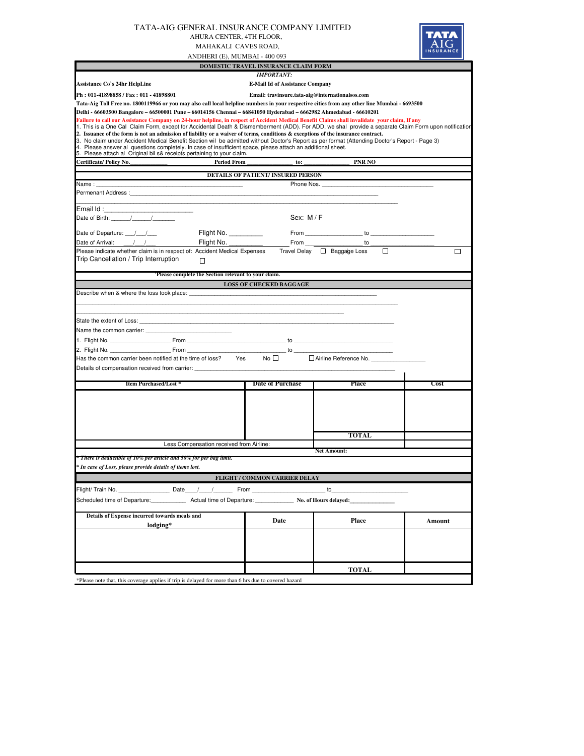|                                                                                                                                                                                                                                                                                                                                                                                                                                                                                                                                                                                                                                                                                                                                                                                      | AHURA CENTER, 4TH FLOOR,<br>MAHAKALI CAVES ROAD,<br>ANDHERI (E), MUMBAI - 400 093 | TATA-AIG GENERAL INSURANCE COMPANY LIMITED      |                                                       |        |  |  |  |  |  |
|--------------------------------------------------------------------------------------------------------------------------------------------------------------------------------------------------------------------------------------------------------------------------------------------------------------------------------------------------------------------------------------------------------------------------------------------------------------------------------------------------------------------------------------------------------------------------------------------------------------------------------------------------------------------------------------------------------------------------------------------------------------------------------------|-----------------------------------------------------------------------------------|-------------------------------------------------|-------------------------------------------------------|--------|--|--|--|--|--|
|                                                                                                                                                                                                                                                                                                                                                                                                                                                                                                                                                                                                                                                                                                                                                                                      |                                                                                   | DOMESTIC TRAVEL INSURANCE CLAIM FORM            |                                                       |        |  |  |  |  |  |
| Assistance Co`s 24hr HelpLine                                                                                                                                                                                                                                                                                                                                                                                                                                                                                                                                                                                                                                                                                                                                                        |                                                                                   | <b>IMPORTANT:</b>                               |                                                       |        |  |  |  |  |  |
| Ph: 011-41898858 / Fax: 011 - 41898801                                                                                                                                                                                                                                                                                                                                                                                                                                                                                                                                                                                                                                                                                                                                               | <b>E-Mail Id of Assistance Company</b>                                            |                                                 |                                                       |        |  |  |  |  |  |
| Tata-Aig Toll Free no. 1800119966 or you may also call local helpline numbers in your respective cities from any other line Mumbai - 6693500                                                                                                                                                                                                                                                                                                                                                                                                                                                                                                                                                                                                                                         |                                                                                   | Email: travinsure.tata-aig@internationalsos.com |                                                       |        |  |  |  |  |  |
| Delhi - 66603500 Bangalore – 66500001 Pune – 66014156 Chennai – 66841050 Hyderabad – 6662982 Ahmedabad - 66610201                                                                                                                                                                                                                                                                                                                                                                                                                                                                                                                                                                                                                                                                    |                                                                                   |                                                 |                                                       |        |  |  |  |  |  |
| Failure to call our Assistance Company on 24-hour helpline, in respect of Accident Medical Benefit Claims shall invalidate your claim, If any<br>1. This is a One Cal Claim Form, except for Accidental Death & Dismemberment (ADD). For ADD, we shal provide a separate Claim Form upon notification<br>2. Issuance of the form is not an admission of liability or a waiver of terms, conditions & exceptions of the insurance contract.<br>3. No claim under Accident Medical Benefit Section wil be admitted without Doctor's Report as per format (Attending Doctor's Report - Page 3)<br>4. Please answer al questions completely. In case of insufficient space, please attach an additional sheet.<br>5. Please attach al Original bil s& receipts pertaining to your claim. |                                                                                   |                                                 |                                                       |        |  |  |  |  |  |
| Certificate/ Policy No.                                                                                                                                                                                                                                                                                                                                                                                                                                                                                                                                                                                                                                                                                                                                                              | <b>Period From</b>                                                                | to:                                             | <b>PNR NO</b>                                         |        |  |  |  |  |  |
|                                                                                                                                                                                                                                                                                                                                                                                                                                                                                                                                                                                                                                                                                                                                                                                      |                                                                                   | <b>DETAILS OF PATIENT/INSURED PERSON</b>        |                                                       |        |  |  |  |  |  |
| Name:                                                                                                                                                                                                                                                                                                                                                                                                                                                                                                                                                                                                                                                                                                                                                                                |                                                                                   | Phone Nos.                                      |                                                       |        |  |  |  |  |  |
| Permenant Address:                                                                                                                                                                                                                                                                                                                                                                                                                                                                                                                                                                                                                                                                                                                                                                   |                                                                                   |                                                 |                                                       |        |  |  |  |  |  |
| Email Id: The Second Second Second Second Second Second Second Second Second Second Second Second Second Second Second Second Second Second Second Second Second Second Second Second Second Second Second Second Second Secon                                                                                                                                                                                                                                                                                                                                                                                                                                                                                                                                                       |                                                                                   |                                                 |                                                       |        |  |  |  |  |  |
| Date of Birth: $\frac{1}{2}$                                                                                                                                                                                                                                                                                                                                                                                                                                                                                                                                                                                                                                                                                                                                                         |                                                                                   | Sex: M/F                                        |                                                       |        |  |  |  |  |  |
|                                                                                                                                                                                                                                                                                                                                                                                                                                                                                                                                                                                                                                                                                                                                                                                      |                                                                                   |                                                 |                                                       |        |  |  |  |  |  |
| Date of Departure: / /                                                                                                                                                                                                                                                                                                                                                                                                                                                                                                                                                                                                                                                                                                                                                               | Flight No.                                                                        |                                                 | From to                                               |        |  |  |  |  |  |
| Date of Arrival: / /<br>Please indicate whether claim is in respect of: Accident Medical Expenses                                                                                                                                                                                                                                                                                                                                                                                                                                                                                                                                                                                                                                                                                    | Flight No.                                                                        | From                                            | to<br>Travel Delay □ Baggage Loss<br>□                | □      |  |  |  |  |  |
| Trip Cancellation / Trip Interruption                                                                                                                                                                                                                                                                                                                                                                                                                                                                                                                                                                                                                                                                                                                                                | П                                                                                 |                                                 |                                                       |        |  |  |  |  |  |
|                                                                                                                                                                                                                                                                                                                                                                                                                                                                                                                                                                                                                                                                                                                                                                                      | 'Please complete the Section relevant to your claim.                              |                                                 |                                                       |        |  |  |  |  |  |
| Describe when & where the loss took place:                                                                                                                                                                                                                                                                                                                                                                                                                                                                                                                                                                                                                                                                                                                                           |                                                                                   | <b>LOSS OF CHECKED BAGGAGE</b>                  |                                                       |        |  |  |  |  |  |
| State the extent of Loss: State of Loss.<br>Name the common carrier: _____<br>Details of compensation received from carrier:                                                                                                                                                                                                                                                                                                                                                                                                                                                                                                                                                                                                                                                         |                                                                                   | to                                              | Airline Reference No.                                 |        |  |  |  |  |  |
| <b>Item Purchased/Lost *</b>                                                                                                                                                                                                                                                                                                                                                                                                                                                                                                                                                                                                                                                                                                                                                         |                                                                                   | Date of Purchase                                | Place                                                 | Cost   |  |  |  |  |  |
|                                                                                                                                                                                                                                                                                                                                                                                                                                                                                                                                                                                                                                                                                                                                                                                      |                                                                                   |                                                 | <b>TOTAL</b>                                          |        |  |  |  |  |  |
|                                                                                                                                                                                                                                                                                                                                                                                                                                                                                                                                                                                                                                                                                                                                                                                      | Less Compensation received from Airline:                                          |                                                 |                                                       |        |  |  |  |  |  |
| * There is deductible of 10% per article and 50% for per bag limit.<br>* In case of Loss, please provide details of items lost.                                                                                                                                                                                                                                                                                                                                                                                                                                                                                                                                                                                                                                                      |                                                                                   |                                                 | <b>Net Amount:</b>                                    |        |  |  |  |  |  |
|                                                                                                                                                                                                                                                                                                                                                                                                                                                                                                                                                                                                                                                                                                                                                                                      |                                                                                   | <b>FLIGHT / COMMON CARRIER DELAY</b>            |                                                       |        |  |  |  |  |  |
| Date<br>Flight/ Train No.<br>Scheduled time of Departure:                                                                                                                                                                                                                                                                                                                                                                                                                                                                                                                                                                                                                                                                                                                            | From                                                                              |                                                 | to<br>Actual time of Departure: No. of Hours delayed: |        |  |  |  |  |  |
| Details of Expense incurred towards meals and<br>lodging*                                                                                                                                                                                                                                                                                                                                                                                                                                                                                                                                                                                                                                                                                                                            |                                                                                   | Date                                            | <b>Place</b>                                          | Amount |  |  |  |  |  |
|                                                                                                                                                                                                                                                                                                                                                                                                                                                                                                                                                                                                                                                                                                                                                                                      |                                                                                   |                                                 |                                                       |        |  |  |  |  |  |
|                                                                                                                                                                                                                                                                                                                                                                                                                                                                                                                                                                                                                                                                                                                                                                                      |                                                                                   |                                                 | <b>TOTAL</b>                                          |        |  |  |  |  |  |

\*Please note that, this coverage applies if trip is delayed for more than 6 hrs due to covered hazard